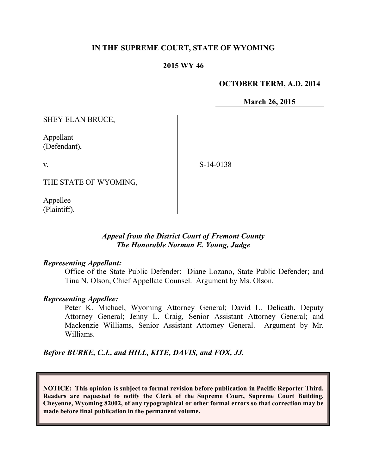### **IN THE SUPREME COURT, STATE OF WYOMING**

#### **2015 WY 46**

#### **OCTOBER TERM, A.D. 2014**

**March 26, 2015**

SHEY ELAN BRUCE,

Appellant (Defendant),

v.

S-14-0138

THE STATE OF WYOMING,

Appellee (Plaintiff).

### *Appeal from the District Court of Fremont County The Honorable Norman E. Young, Judge*

#### *Representing Appellant:*

Office of the State Public Defender: Diane Lozano, State Public Defender; and Tina N. Olson, Chief Appellate Counsel. Argument by Ms. Olson.

#### *Representing Appellee:*

Peter K. Michael, Wyoming Attorney General; David L. Delicath, Deputy Attorney General; Jenny L. Craig, Senior Assistant Attorney General; and Mackenzie Williams, Senior Assistant Attorney General. Argument by Mr. Williams.

*Before BURKE, C.J., and HILL, KITE, DAVIS, and FOX, JJ.*

**NOTICE: This opinion is subject to formal revision before publication in Pacific Reporter Third. Readers are requested to notify the Clerk of the Supreme Court, Supreme Court Building, Cheyenne, Wyoming 82002, of any typographical or other formal errors so that correction may be made before final publication in the permanent volume.**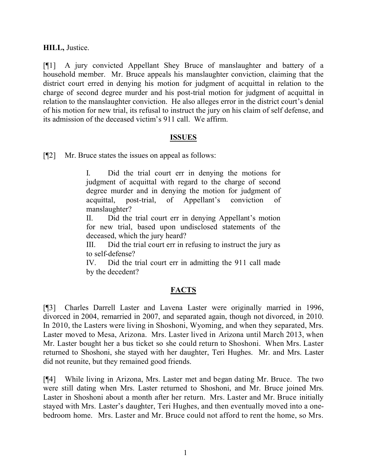**HILL,** Justice.

[¶1] A jury convicted Appellant Shey Bruce of manslaughter and battery of a household member. Mr. Bruce appeals his manslaughter conviction, claiming that the district court erred in denying his motion for judgment of acquittal in relation to the charge of second degree murder and his post-trial motion for judgment of acquittal in relation to the manslaughter conviction. He also alleges error in the district court's denial of his motion for new trial, its refusal to instruct the jury on his claim of self defense, and its admission of the deceased victim's 911 call. We affirm.

### **ISSUES**

[¶2] Mr. Bruce states the issues on appeal as follows:

I. Did the trial court err in denying the motions for judgment of acquittal with regard to the charge of second degree murder and in denying the motion for judgment of acquittal, post-trial, of Appellant's conviction of manslaughter?

II. Did the trial court err in denying Appellant's motion for new trial, based upon undisclosed statements of the deceased, which the jury heard?

III. Did the trial court err in refusing to instruct the jury as to self-defense?

IV. Did the trial court err in admitting the 911 call made by the decedent?

# **FACTS**

[¶3] Charles Darrell Laster and Lavena Laster were originally married in 1996, divorced in 2004, remarried in 2007, and separated again, though not divorced, in 2010. In 2010, the Lasters were living in Shoshoni, Wyoming, and when they separated, Mrs. Laster moved to Mesa, Arizona. Mrs. Laster lived in Arizona until March 2013, when Mr. Laster bought her a bus ticket so she could return to Shoshoni. When Mrs. Laster returned to Shoshoni, she stayed with her daughter, Teri Hughes. Mr. and Mrs. Laster did not reunite, but they remained good friends.

[¶4] While living in Arizona, Mrs. Laster met and began dating Mr. Bruce. The two were still dating when Mrs. Laster returned to Shoshoni, and Mr. Bruce joined Mrs. Laster in Shoshoni about a month after her return. Mrs. Laster and Mr. Bruce initially stayed with Mrs. Laster's daughter, Teri Hughes, and then eventually moved into a onebedroom home. Mrs. Laster and Mr. Bruce could not afford to rent the home, so Mrs.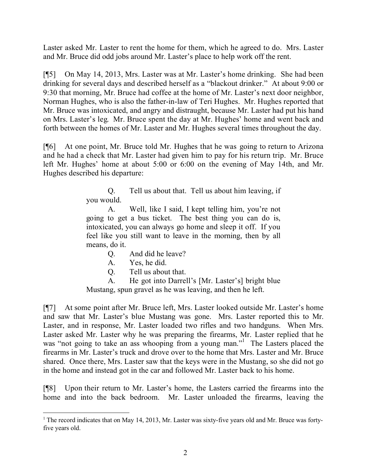Laster asked Mr. Laster to rent the home for them, which he agreed to do. Mrs. Laster and Mr. Bruce did odd jobs around Mr. Laster's place to help work off the rent.

[¶5] On May 14, 2013, Mrs. Laster was at Mr. Laster's home drinking. She had been drinking for several days and described herself as a "blackout drinker." At about 9:00 or 9:30 that morning, Mr. Bruce had coffee at the home of Mr. Laster's next door neighbor, Norman Hughes, who is also the father-in-law of Teri Hughes. Mr. Hughes reported that Mr. Bruce was intoxicated, and angry and distraught, because Mr. Laster had put his hand on Mrs. Laster's leg. Mr. Bruce spent the day at Mr. Hughes' home and went back and forth between the homes of Mr. Laster and Mr. Hughes several times throughout the day.

[¶6] At one point, Mr. Bruce told Mr. Hughes that he was going to return to Arizona and he had a check that Mr. Laster had given him to pay for his return trip. Mr. Bruce left Mr. Hughes' home at about 5:00 or 6:00 on the evening of May 14th, and Mr. Hughes described his departure:

> Q. Tell us about that. Tell us about him leaving, if you would.

> A. Well, like I said, I kept telling him, you're not going to get a bus ticket. The best thing you can do is, intoxicated, you can always go home and sleep it off. If you feel like you still want to leave in the morning, then by all means, do it.

- Q. And did he leave?
- A. Yes, he did.

Q. Tell us about that.

A. He got into Darrell's [Mr. Laster's] bright blue Mustang, spun gravel as he was leaving, and then he left.

[¶7] At some point after Mr. Bruce left, Mrs. Laster looked outside Mr. Laster's home and saw that Mr. Laster's blue Mustang was gone. Mrs. Laster reported this to Mr. Laster, and in response, Mr. Laster loaded two rifles and two handguns. When Mrs. Laster asked Mr. Laster why he was preparing the firearms, Mr. Laster replied that he was "not going to take an ass whooping from a young man."<sup>1</sup> The Lasters placed the firearms in Mr. Laster's truck and drove over to the home that Mrs. Laster and Mr. Bruce shared. Once there, Mrs. Laster saw that the keys were in the Mustang, so she did not go in the home and instead got in the car and followed Mr. Laster back to his home.

[¶8] Upon their return to Mr. Laster's home, the Lasters carried the firearms into the home and into the back bedroom. Mr. Laster unloaded the firearms, leaving the

 $1$  The record indicates that on May 14, 2013, Mr. Laster was sixty-five years old and Mr. Bruce was fortyfive years old.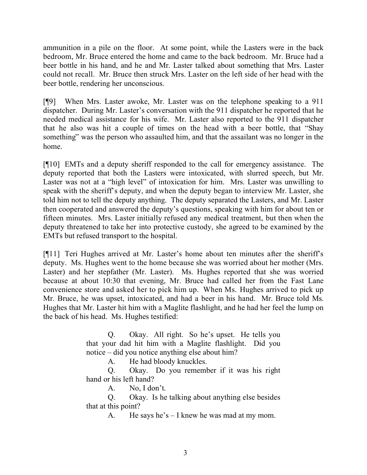ammunition in a pile on the floor. At some point, while the Lasters were in the back bedroom, Mr. Bruce entered the home and came to the back bedroom. Mr. Bruce had a beer bottle in his hand, and he and Mr. Laster talked about something that Mrs. Laster could not recall. Mr. Bruce then struck Mrs. Laster on the left side of her head with the beer bottle, rendering her unconscious.

[¶9] When Mrs. Laster awoke, Mr. Laster was on the telephone speaking to a 911 dispatcher. During Mr. Laster's conversation with the 911 dispatcher he reported that he needed medical assistance for his wife. Mr. Laster also reported to the 911 dispatcher that he also was hit a couple of times on the head with a beer bottle, that "Shay something" was the person who assaulted him, and that the assailant was no longer in the home.

[¶10] EMTs and a deputy sheriff responded to the call for emergency assistance. The deputy reported that both the Lasters were intoxicated, with slurred speech, but Mr. Laster was not at a "high level" of intoxication for him. Mrs. Laster was unwilling to speak with the sheriff's deputy, and when the deputy began to interview Mr. Laster, she told him not to tell the deputy anything. The deputy separated the Lasters, and Mr. Laster then cooperated and answered the deputy's questions, speaking with him for about ten or fifteen minutes. Mrs. Laster initially refused any medical treatment, but then when the deputy threatened to take her into protective custody, she agreed to be examined by the EMTs but refused transport to the hospital.

[¶11] Teri Hughes arrived at Mr. Laster's home about ten minutes after the sheriff's deputy. Ms. Hughes went to the home because she was worried about her mother (Mrs. Laster) and her stepfather (Mr. Laster). Ms. Hughes reported that she was worried because at about 10:30 that evening, Mr. Bruce had called her from the Fast Lane convenience store and asked her to pick him up. When Ms. Hughes arrived to pick up Mr. Bruce, he was upset, intoxicated, and had a beer in his hand. Mr. Bruce told Ms. Hughes that Mr. Laster hit him with a Maglite flashlight, and he had her feel the lump on the back of his head. Ms. Hughes testified:

> Q. Okay. All right. So he's upset. He tells you that your dad hit him with a Maglite flashlight. Did you notice – did you notice anything else about him?

A. He had bloody knuckles.

Q. Okay. Do you remember if it was his right hand or his left hand?

A. No, I don't.

Q. Okay. Is he talking about anything else besides that at this point?

A. He says he's – I knew he was mad at my mom.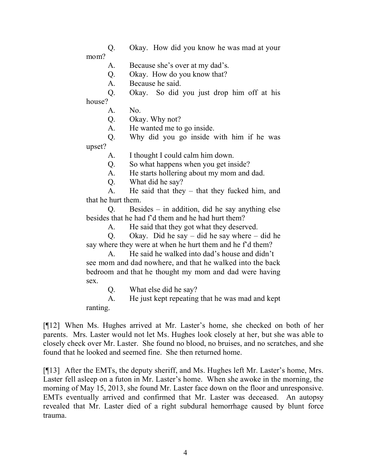Q. Okay. How did you know he was mad at your mom?

A. Because she's over at my dad's.

Q. Okay. How do you know that?

A. Because he said.

Q. Okay. So did you just drop him off at his

house?

A. No.

Q. Okay. Why not?

A. He wanted me to go inside.

Q. Why did you go inside with him if he was upset?

A. I thought I could calm him down.

Q. So what happens when you get inside?

A. He starts hollering about my mom and dad.

Q. What did he say?

A. He said that they – that they fucked him, and that he hurt them.

Q. Besides – in addition, did he say anything else besides that he had f'd them and he had hurt them?

A. He said that they got what they deserved.

Q. Okay. Did he say – did he say where – did he say where they were at when he hurt them and he f'd them?

A. He said he walked into dad's house and didn't see mom and dad nowhere, and that he walked into the back bedroom and that he thought my mom and dad were having sex.

Q. What else did he say?

A. He just kept repeating that he was mad and kept ranting.

[¶12] When Ms. Hughes arrived at Mr. Laster's home, she checked on both of her parents. Mrs. Laster would not let Ms. Hughes look closely at her, but she was able to closely check over Mr. Laster. She found no blood, no bruises, and no scratches, and she found that he looked and seemed fine. She then returned home.

[¶13] After the EMTs, the deputy sheriff, and Ms. Hughes left Mr. Laster's home, Mrs. Laster fell asleep on a futon in Mr. Laster's home. When she awoke in the morning, the morning of May 15, 2013, she found Mr. Laster face down on the floor and unresponsive. EMTs eventually arrived and confirmed that Mr. Laster was deceased. An autopsy revealed that Mr. Laster died of a right subdural hemorrhage caused by blunt force trauma.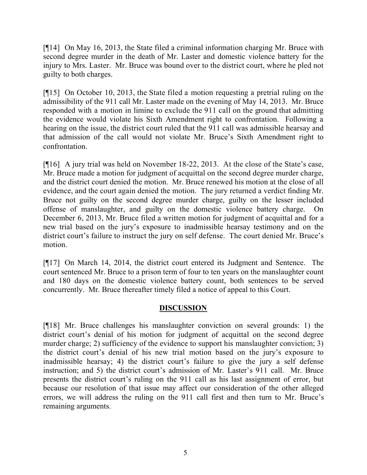[¶14] On May 16, 2013, the State filed a criminal information charging Mr. Bruce with second degree murder in the death of Mr. Laster and domestic violence battery for the injury to Mrs. Laster. Mr. Bruce was bound over to the district court, where he pled not guilty to both charges.

[¶15] On October 10, 2013, the State filed a motion requesting a pretrial ruling on the admissibility of the 911 call Mr. Laster made on the evening of May 14, 2013. Mr. Bruce responded with a motion in limine to exclude the 911 call on the ground that admitting the evidence would violate his Sixth Amendment right to confrontation. Following a hearing on the issue, the district court ruled that the 911 call was admissible hearsay and that admission of the call would not violate Mr. Bruce's Sixth Amendment right to confrontation.

[¶16] A jury trial was held on November 18-22, 2013. At the close of the State's case, Mr. Bruce made a motion for judgment of acquittal on the second degree murder charge, and the district court denied the motion. Mr. Bruce renewed his motion at the close of all evidence, and the court again denied the motion. The jury returned a verdict finding Mr. Bruce not guilty on the second degree murder charge, guilty on the lesser included offense of manslaughter, and guilty on the domestic violence battery charge. On December 6, 2013, Mr. Bruce filed a written motion for judgment of acquittal and for a new trial based on the jury's exposure to inadmissible hearsay testimony and on the district court's failure to instruct the jury on self defense. The court denied Mr. Bruce's motion.

[¶17] On March 14, 2014, the district court entered its Judgment and Sentence. The court sentenced Mr. Bruce to a prison term of four to ten years on the manslaughter count and 180 days on the domestic violence battery count, both sentences to be served concurrently. Mr. Bruce thereafter timely filed a notice of appeal to this Court.

### **DISCUSSION**

[¶18] Mr. Bruce challenges his manslaughter conviction on several grounds: 1) the district court's denial of his motion for judgment of acquittal on the second degree murder charge; 2) sufficiency of the evidence to support his manslaughter conviction; 3) the district court's denial of his new trial motion based on the jury's exposure to inadmissible hearsay; 4) the district court's failure to give the jury a self defense instruction; and 5) the district court's admission of Mr. Laster's 911 call. Mr. Bruce presents the district court's ruling on the 911 call as his last assignment of error, but because our resolution of that issue may affect our consideration of the other alleged errors, we will address the ruling on the 911 call first and then turn to Mr. Bruce's remaining arguments.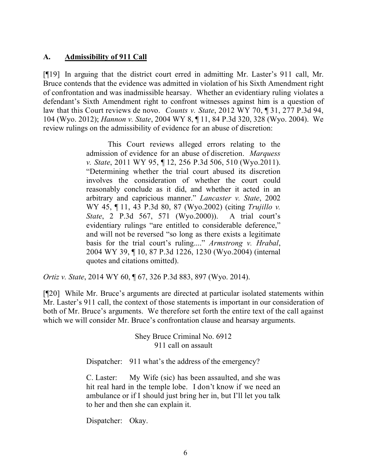### **A. Admissibility of 911 Call**

[¶19] In arguing that the district court erred in admitting Mr. Laster's 911 call, Mr. Bruce contends that the evidence was admitted in violation of his Sixth Amendment right of confrontation and was inadmissible hearsay. Whether an evidentiary ruling violates a defendant's Sixth Amendment right to confront witnesses against him is a question of law that this Court reviews de novo. *Counts v. State*, 2012 WY 70, ¶ 31, 277 P.3d 94, 104 (Wyo. 2012); *Hannon v. State*, 2004 WY 8, ¶ 11, 84 P.3d 320, 328 (Wyo. 2004). We review rulings on the admissibility of evidence for an abuse of discretion:

> This Court reviews alleged errors relating to the admission of evidence for an abuse of discretion. *Marquess v. State*, 2011 WY 95, ¶ 12, 256 P.3d 506, 510 (Wyo.2011). "Determining whether the trial court abused its discretion involves the consideration of whether the court could reasonably conclude as it did, and whether it acted in an arbitrary and capricious manner." *Lancaster v. State*, 2002 WY 45, ¶ 11, 43 P.3d 80, 87 (Wyo.2002) (citing *Trujillo v. State*, 2 P.3d 567, 571 (Wyo.2000)). A trial court's evidentiary rulings "are entitled to considerable deference," and will not be reversed "so long as there exists a legitimate basis for the trial court's ruling...." *Armstrong v. Hrabal*, 2004 WY 39, ¶ 10, 87 P.3d 1226, 1230 (Wyo.2004) (internal quotes and citations omitted).

*Ortiz v. State*, 2014 WY 60, ¶ 67, 326 P.3d 883, 897 (Wyo. 2014).

[¶20] While Mr. Bruce's arguments are directed at particular isolated statements within Mr. Laster's 911 call, the context of those statements is important in our consideration of both of Mr. Bruce's arguments. We therefore set forth the entire text of the call against which we will consider Mr. Bruce's confrontation clause and hearsay arguments.

> Shey Bruce Criminal No. 6912 911 call on assault

Dispatcher: 911 what's the address of the emergency?

C. Laster: My Wife (sic) has been assaulted, and she was hit real hard in the temple lobe. I don't know if we need an ambulance or if I should just bring her in, but I'll let you talk to her and then she can explain it.

Dispatcher: Okay.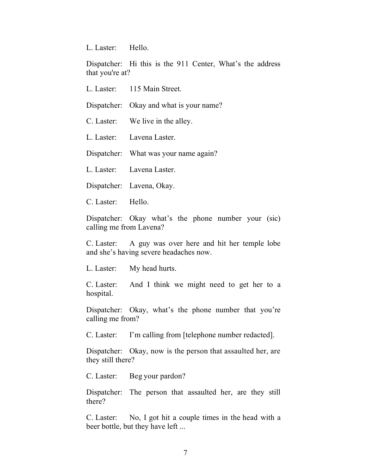L. Laster: Hello.

Dispatcher: Hi this is the 911 Center, What's the address that you're at?

| L. Laster: | 115 Main Street. |  |
|------------|------------------|--|
|            |                  |  |

Dispatcher: Okay and what is your name?

C. Laster: We live in the alley.

L. Laster: Lavena Laster.

Dispatcher: What was your name again?

L. Laster: Lavena Laster.

Dispatcher: Lavena, Okay.

C. Laster: Hello.

Dispatcher: Okay what's the phone number your (sic) calling me from Lavena?

C. Laster: A guy was over here and hit her temple lobe and she's having severe headaches now.

L. Laster: My head hurts.

C. Laster: And I think we might need to get her to a hospital.

Dispatcher: Okay, what's the phone number that you're calling me from?

C. Laster: I'm calling from [telephone number redacted].

Dispatcher: Okay, now is the person that assaulted her, are they still there?

C. Laster: Beg your pardon?

Dispatcher: The person that assaulted her, are they still there?

C. Laster: No, I got hit a couple times in the head with a beer bottle, but they have left ...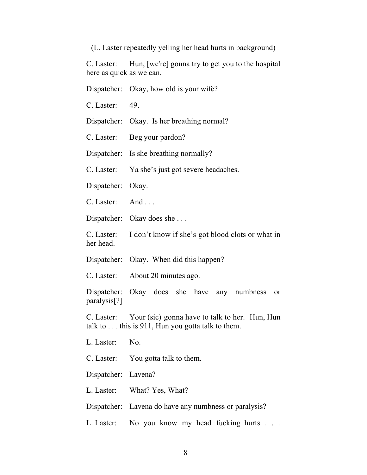(L. Laster repeatedly yelling her head hurts in background)

C. Laster: Hun, [we're] gonna try to get you to the hospital here as quick as we can.

|                                                                                                                       | Dispatcher: Okay, how old is your wife?                     |  |
|-----------------------------------------------------------------------------------------------------------------------|-------------------------------------------------------------|--|
| $C.$ Laster: 49.                                                                                                      |                                                             |  |
|                                                                                                                       | Dispatcher: Okay. Is her breathing normal?                  |  |
|                                                                                                                       | C. Laster: Beg your pardon?                                 |  |
|                                                                                                                       | Dispatcher: Is she breathing normally?                      |  |
|                                                                                                                       | C. Laster: Ya she's just got severe headaches.              |  |
| Dispatcher: Okay.                                                                                                     |                                                             |  |
| $C.$ Laster: And                                                                                                      |                                                             |  |
|                                                                                                                       | Dispatcher: Okay does she                                   |  |
| her head.                                                                                                             | C. Laster: I don't know if she's got blood clots or what in |  |
|                                                                                                                       | Dispatcher: Okay. When did this happen?                     |  |
|                                                                                                                       | C. Laster: About 20 minutes ago.                            |  |
| paralysis[?]                                                                                                          | Dispatcher: Okay does she have any numbness or              |  |
| C. Laster: Your (sic) gonna have to talk to her. Hun, Hun<br>talk to $\dots$ this is 911, Hun you gotta talk to them. |                                                             |  |
| L. Laster: No.                                                                                                        |                                                             |  |
|                                                                                                                       | C. Laster: You gotta talk to them.                          |  |
| Dispatcher: Lavena?                                                                                                   |                                                             |  |
|                                                                                                                       | L. Laster: What? Yes, What?                                 |  |
|                                                                                                                       | Dispatcher: Lavena do have any numbness or paralysis?       |  |
| L. Laster:                                                                                                            | No you know my head fucking hurts                           |  |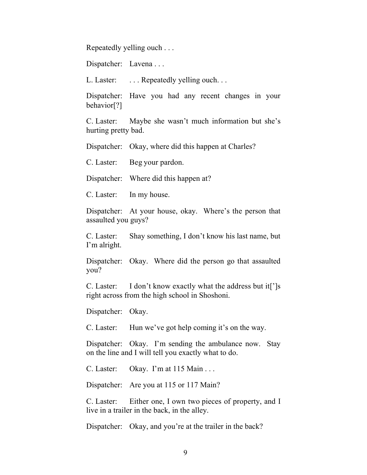Repeatedly yelling ouch . . .

Dispatcher: Lavena . . .

L. Laster: ... Repeatedly yelling ouch...

Dispatcher: Have you had any recent changes in your behavior[?]

C. Laster: Maybe she wasn't much information but she's hurting pretty bad.

Dispatcher: Okay, where did this happen at Charles?

C. Laster: Beg your pardon.

Dispatcher: Where did this happen at?

C. Laster: In my house.

Dispatcher: At your house, okay. Where's the person that assaulted you guys?

C. Laster: Shay something, I don't know his last name, but I'm alright.

Dispatcher: Okay. Where did the person go that assaulted you?

C. Laster: I don't know exactly what the address but it[']s right across from the high school in Shoshoni.

Dispatcher: Okay.

C. Laster: Hun we've got help coming it's on the way.

Dispatcher: Okay. I'm sending the ambulance now. Stay on the line and I will tell you exactly what to do.

C. Laster: Okay. I'm at 115 Main . . .

Dispatcher: Are you at 115 or 117 Main?

C. Laster: Either one, I own two pieces of property, and I live in a trailer in the back, in the alley.

Dispatcher: Okay, and you're at the trailer in the back?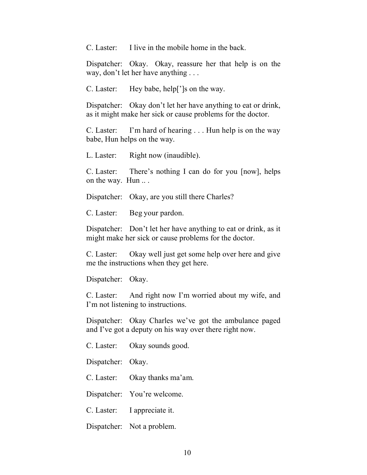C. Laster: I live in the mobile home in the back.

Dispatcher: Okay. Okay, reassure her that help is on the way, don't let her have anything . . .

C. Laster: Hey babe, help[']s on the way.

Dispatcher: Okay don't let her have anything to eat or drink, as it might make her sick or cause problems for the doctor.

C. Laster: I'm hard of hearing . . . Hun help is on the way babe, Hun helps on the way.

L. Laster: Right now (inaudible).

C. Laster: There's nothing I can do for you [now], helps on the way. Hun ...

Dispatcher: Okay, are you still there Charles?

C. Laster: Beg your pardon.

Dispatcher: Don't let her have anything to eat or drink, as it might make her sick or cause problems for the doctor.

C. Laster: Okay well just get some help over here and give me the instructions when they get here.

Dispatcher: Okay.

C. Laster: And right now I'm worried about my wife, and I'm not listening to instructions.

Dispatcher: Okay Charles we've got the ambulance paged and I've got a deputy on his way over there right now.

C. Laster: Okay sounds good.

Dispatcher: Okay.

C. Laster: Okay thanks ma'am.

Dispatcher: You're welcome.

C. Laster: I appreciate it.

Dispatcher: Not a problem.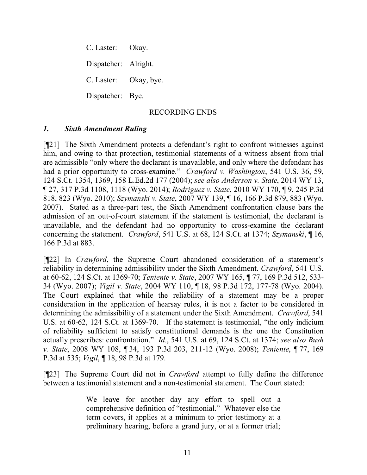C. Laster: Okay. Dispatcher: Alright. C. Laster: Okay, bye. Dispatcher: Bye.

#### RECORDING ENDS

### *1. Sixth Amendment Ruling*

[¶21] The Sixth Amendment protects a defendant's right to confront witnesses against him, and owing to that protection, testimonial statements of a witness absent from trial are admissible "only where the declarant is unavailable, and only where the defendant has had a prior opportunity to cross-examine." *Crawford v. Washington*, 541 U.S. 36, 59, 124 S.Ct. 1354, 1369, 158 L.Ed.2d 177 (2004); *see also Anderson v. State*, 2014 WY 13, ¶ 27, 317 P.3d 1108, 1118 (Wyo. 2014); *Rodriguez v. State*, 2010 WY 170, ¶ 9, 245 P.3d 818, 823 (Wyo. 2010); *Szymanski v. State*, 2007 WY 139, ¶ 16, 166 P.3d 879, 883 (Wyo. 2007). Stated as a three-part test, the Sixth Amendment confrontation clause bars the admission of an out-of-court statement if the statement is testimonial, the declarant is unavailable, and the defendant had no opportunity to cross-examine the declarant concerning the statement. *Crawford*, 541 U.S. at 68, 124 S.Ct. at 1374; *Szymanski*, ¶ 16, 166 P.3d at 883.

[¶22] In *Crawford*, the Supreme Court abandoned consideration of a statement's reliability in determining admissibility under the Sixth Amendment. *Crawford*, 541 U.S. at 60-62, 124 S.Ct. at 1369-70; *Teniente v. State*, 2007 WY 165, ¶ 77, 169 P.3d 512, 533- 34 (Wyo. 2007); *Vigil v. State*, 2004 WY 110, ¶ 18, 98 P.3d 172, 177-78 (Wyo. 2004). The Court explained that while the reliability of a statement may be a proper consideration in the application of hearsay rules, it is not a factor to be considered in determining the admissibility of a statement under the Sixth Amendment. *Crawford*, 541 U.S. at 60-62, 124 S.Ct. at 1369-70. If the statement is testimonial, "the only indicium of reliability sufficient to satisfy constitutional demands is the one the Constitution actually prescribes: confrontation." *Id.*, 541 U.S. at 69, 124 S.Ct. at 1374; *see also Bush v. State*, 2008 WY 108, ¶ 34, 193 P.3d 203, 211-12 (Wyo. 2008); *Teniente*, ¶ 77, 169 P.3d at 535; *Vigil*, ¶ 18, 98 P.3d at 179.

[¶23] The Supreme Court did not in *Crawford* attempt to fully define the difference between a testimonial statement and a non-testimonial statement. The Court stated:

> We leave for another day any effort to spell out a comprehensive definition of "testimonial." Whatever else the term covers, it applies at a minimum to prior testimony at a preliminary hearing, before a grand jury, or at a former trial;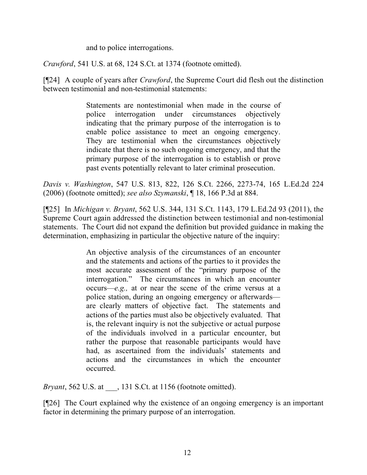and to police interrogations.

*Crawford*, 541 U.S. at 68, 124 S.Ct. at 1374 (footnote omitted).

[¶24] A couple of years after *Crawford*, the Supreme Court did flesh out the distinction between testimonial and non-testimonial statements:

> Statements are nontestimonial when made in the course of police interrogation under circumstances objectively indicating that the primary purpose of the interrogation is to enable police assistance to meet an ongoing emergency. They are testimonial when the circumstances objectively indicate that there is no such ongoing emergency, and that the primary purpose of the interrogation is to establish or prove past events potentially relevant to later criminal prosecution.

*Davis v. Washington*, 547 U.S. 813, 822, 126 S.Ct. 2266, 2273-74, 165 L.Ed.2d 224 (2006) (footnote omitted); *see also Szymanski*, ¶ 18, 166 P.3d at 884.

[¶25] In *Michigan v. Bryant*, 562 U.S. 344, 131 S.Ct. 1143, 179 L.Ed.2d 93 (2011), the Supreme Court again addressed the distinction between testimonial and non-testimonial statements. The Court did not expand the definition but provided guidance in making the determination, emphasizing in particular the objective nature of the inquiry:

> An objective analysis of the circumstances of an encounter and the statements and actions of the parties to it provides the most accurate assessment of the "primary purpose of the interrogation." The circumstances in which an encounter occurs—*e.g.,* at or near the scene of the crime versus at a police station, during an ongoing emergency or afterwards are clearly matters of objective fact. The statements and actions of the parties must also be objectively evaluated. That is, the relevant inquiry is not the subjective or actual purpose of the individuals involved in a particular encounter, but rather the purpose that reasonable participants would have had, as ascertained from the individuals' statements and actions and the circumstances in which the encounter occurred.

*Bryant*, 562 U.S. at \_\_\_, 131 S.Ct. at 1156 (footnote omitted).

[¶26] The Court explained why the existence of an ongoing emergency is an important factor in determining the primary purpose of an interrogation.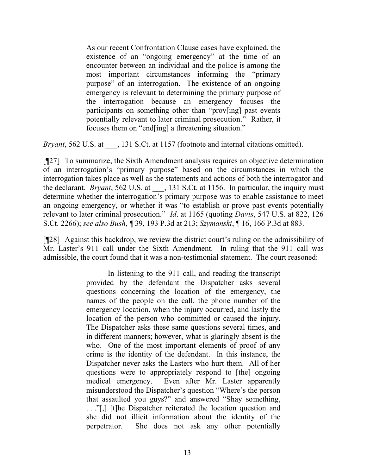As our recent Confrontation Clause cases have explained, the existence of an "ongoing emergency" at the time of an encounter between an individual and the police is among the most important circumstances informing the "primary purpose" of an interrogation. The existence of an ongoing emergency is relevant to determining the primary purpose of the interrogation because an emergency focuses the participants on something other than "prov[ing] past events potentially relevant to later criminal prosecution." Rather, it focuses them on "end[ing] a threatening situation."

*Bryant*, 562 U.S. at  $\qquad$ , 131 S.Ct. at 1157 (footnote and internal citations omitted).

[¶27] To summarize, the Sixth Amendment analysis requires an objective determination of an interrogation's "primary purpose" based on the circumstances in which the interrogation takes place as well as the statements and actions of both the interrogator and the declarant. *Bryant*, 562 U.S. at  $\qquad$ , 131 S.Ct. at 1156. In particular, the inquiry must determine whether the interrogation's primary purpose was to enable assistance to meet an ongoing emergency, or whether it was "to establish or prove past events potentially relevant to later criminal prosecution." *Id*. at 1165 (quoting *Davis*, 547 U.S. at 822, 126 S.Ct. 2266); *see also Bush*, ¶ 39, 193 P.3d at 213; *Szymanski*, ¶ 16, 166 P.3d at 883.

[¶28] Against this backdrop, we review the district court's ruling on the admissibility of Mr. Laster's 911 call under the Sixth Amendment. In ruling that the 911 call was admissible, the court found that it was a non-testimonial statement. The court reasoned:

> In listening to the 911 call, and reading the transcript provided by the defendant the Dispatcher asks several questions concerning the location of the emergency, the names of the people on the call, the phone number of the emergency location, when the injury occurred, and lastly the location of the person who committed or caused the injury. The Dispatcher asks these same questions several times, and in different manners; however, what is glaringly absent is the who. One of the most important elements of proof of any crime is the identity of the defendant. In this instance, the Dispatcher never asks the Lasters who hurt them. All of her questions were to appropriately respond to [the] ongoing medical emergency. Even after Mr. Laster apparently misunderstood the Dispatcher's question "Where's the person that assaulted you guys?" and answered "Shay something, . . ."[,] [t]he Dispatcher reiterated the location question and she did not illicit information about the identity of the perpetrator. She does not ask any other potentially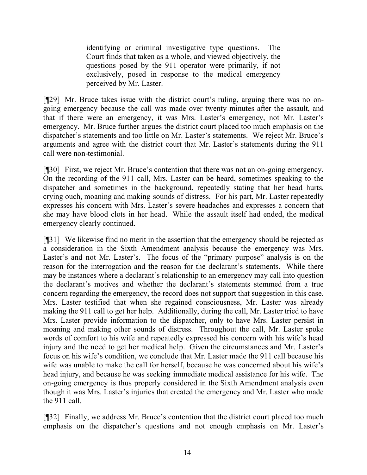identifying or criminal investigative type questions. The Court finds that taken as a whole, and viewed objectively, the questions posed by the 911 operator were primarily, if not exclusively, posed in response to the medical emergency perceived by Mr. Laster.

[¶29] Mr. Bruce takes issue with the district court's ruling, arguing there was no ongoing emergency because the call was made over twenty minutes after the assault, and that if there were an emergency, it was Mrs. Laster's emergency, not Mr. Laster's emergency. Mr. Bruce further argues the district court placed too much emphasis on the dispatcher's statements and too little on Mr. Laster's statements. We reject Mr. Bruce's arguments and agree with the district court that Mr. Laster's statements during the 911 call were non-testimonial.

[¶30] First, we reject Mr. Bruce's contention that there was not an on-going emergency. On the recording of the 911 call, Mrs. Laster can be heard, sometimes speaking to the dispatcher and sometimes in the background, repeatedly stating that her head hurts, crying ouch, moaning and making sounds of distress. For his part, Mr. Laster repeatedly expresses his concern with Mrs. Laster's severe headaches and expresses a concern that she may have blood clots in her head. While the assault itself had ended, the medical emergency clearly continued.

[¶31] We likewise find no merit in the assertion that the emergency should be rejected as a consideration in the Sixth Amendment analysis because the emergency was Mrs. Laster's and not Mr. Laster's. The focus of the "primary purpose" analysis is on the reason for the interrogation and the reason for the declarant's statements. While there may be instances where a declarant's relationship to an emergency may call into question the declarant's motives and whether the declarant's statements stemmed from a true concern regarding the emergency, the record does not support that suggestion in this case. Mrs. Laster testified that when she regained consciousness, Mr. Laster was already making the 911 call to get her help. Additionally, during the call, Mr. Laster tried to have Mrs. Laster provide information to the dispatcher, only to have Mrs. Laster persist in moaning and making other sounds of distress. Throughout the call, Mr. Laster spoke words of comfort to his wife and repeatedly expressed his concern with his wife's head injury and the need to get her medical help. Given the circumstances and Mr. Laster's focus on his wife's condition, we conclude that Mr. Laster made the 911 call because his wife was unable to make the call for herself, because he was concerned about his wife's head injury, and because he was seeking immediate medical assistance for his wife. The on-going emergency is thus properly considered in the Sixth Amendment analysis even though it was Mrs. Laster's injuries that created the emergency and Mr. Laster who made the 911 call.

[¶32] Finally, we address Mr. Bruce's contention that the district court placed too much emphasis on the dispatcher's questions and not enough emphasis on Mr. Laster's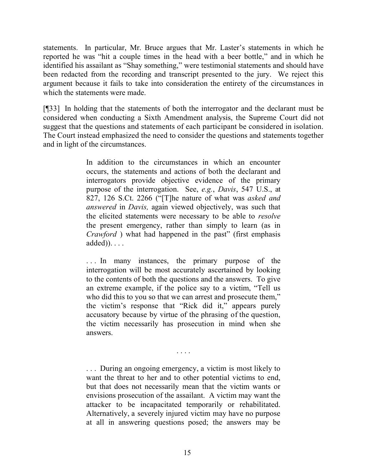statements. In particular, Mr. Bruce argues that Mr. Laster's statements in which he reported he was "hit a couple times in the head with a beer bottle," and in which he identified his assailant as "Shay something," were testimonial statements and should have been redacted from the recording and transcript presented to the jury. We reject this argument because it fails to take into consideration the entirety of the circumstances in which the statements were made.

[¶33] In holding that the statements of both the interrogator and the declarant must be considered when conducting a Sixth Amendment analysis, the Supreme Court did not suggest that the questions and statements of each participant be considered in isolation. The Court instead emphasized the need to consider the questions and statements together and in light of the circumstances.

> In addition to the circumstances in which an encounter occurs, the statements and actions of both the declarant and interrogators provide objective evidence of the primary purpose of the interrogation. See, *e.g.*, *Davis*, 547 U.S., at 827, 126 S.Ct. 2266 ("[T]he nature of what was *asked and answered* in *Davis,* again viewed objectively, was such that the elicited statements were necessary to be able to *resolve*  the present emergency, rather than simply to learn (as in *Crawford* ) what had happened in the past" (first emphasis added)). . . .

> ... In many instances, the primary purpose of the interrogation will be most accurately ascertained by looking to the contents of both the questions and the answers. To give an extreme example, if the police say to a victim, "Tell us who did this to you so that we can arrest and prosecute them," the victim's response that "Rick did it," appears purely accusatory because by virtue of the phrasing of the question, the victim necessarily has prosecution in mind when she answers.

> > . . . .

. . . During an ongoing emergency, a victim is most likely to want the threat to her and to other potential victims to end, but that does not necessarily mean that the victim wants or envisions prosecution of the assailant. A victim may want the attacker to be incapacitated temporarily or rehabilitated. Alternatively, a severely injured victim may have no purpose at all in answering questions posed; the answers may be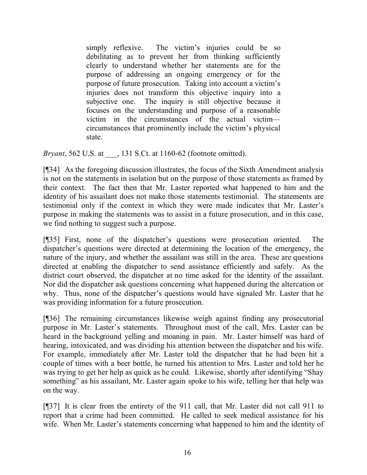simply reflexive. The victim's injuries could be so debilitating as to prevent her from thinking sufficiently clearly to understand whether her statements are for the purpose of addressing an ongoing emergency or for the purpose of future prosecution. Taking into account a victim's injuries does not transform this objective inquiry into a subjective one. The inquiry is still objective because it focuses on the understanding and purpose of a reasonable victim in the circumstances of the actual victim circumstances that prominently include the victim's physical state.

*Bryant*, 562 U.S. at \_\_\_, 131 S.Ct. at 1160-62 (footnote omitted).

[¶34] As the foregoing discussion illustrates, the focus of the Sixth Amendment analysis is not on the statements in isolation but on the purpose of those statements as framed by their context. The fact then that Mr. Laster reported what happened to him and the identity of his assailant does not make those statements testimonial. The statements are testimonial only if the context in which they were made indicates that Mr. Laster's purpose in making the statements was to assist in a future prosecution, and in this case, we find nothing to suggest such a purpose.

[¶35] First, none of the dispatcher's questions were prosecution oriented. The dispatcher's questions were directed at determining the location of the emergency, the nature of the injury, and whether the assailant was still in the area. These are questions directed at enabling the dispatcher to send assistance efficiently and safely. As the district court observed, the dispatcher at no time asked for the identity of the assailant. Nor did the dispatcher ask questions concerning what happened during the altercation or why. Thus, none of the dispatcher's questions would have signaled Mr. Laster that he was providing information for a future prosecution.

[¶36] The remaining circumstances likewise weigh against finding any prosecutorial purpose in Mr. Laster's statements. Throughout most of the call, Mrs. Laster can be heard in the background yelling and moaning in pain. Mr. Laster himself was hard of hearing, intoxicated, and was dividing his attention between the dispatcher and his wife. For example, immediately after Mr. Laster told the dispatcher that he had been hit a couple of times with a beer bottle, he turned his attention to Mrs. Laster and told her he was trying to get her help as quick as he could. Likewise, shortly after identifying "Shay something" as his assailant, Mr. Laster again spoke to his wife, telling her that help was on the way.

[¶37] It is clear from the entirety of the 911 call, that Mr. Laster did not call 911 to report that a crime had been committed. He called to seek medical assistance for his wife. When Mr. Laster's statements concerning what happened to him and the identity of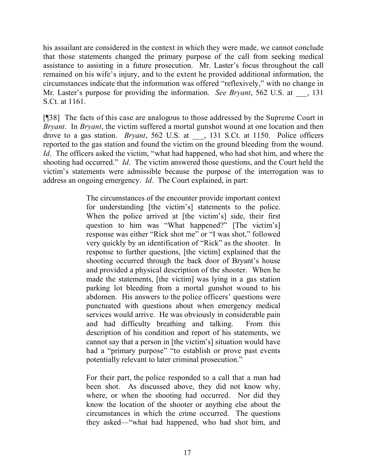his assailant are considered in the context in which they were made, we cannot conclude that those statements changed the primary purpose of the call from seeking medical assistance to assisting in a future prosecution. Mr. Laster's focus throughout the call remained on his wife's injury, and to the extent he provided additional information, the circumstances indicate that the information was offered "reflexively," with no change in Mr. Laster's purpose for providing the information. *See Bryant*, 562 U.S. at  $\qquad$ , 131 S.Ct. at 1161.

[¶38] The facts of this case are analogous to those addressed by the Supreme Court in *Bryant*. In *Bryant*, the victim suffered a mortal gunshot wound at one location and then drove to a gas station. *Bryant*, 562 U.S. at \_\_\_, 131 S.Ct. at 1150. Police officers reported to the gas station and found the victim on the ground bleeding from the wound. *Id*. The officers asked the victim, "what had happened, who had shot him, and where the shooting had occurred." *Id*. The victim answered those questions, and the Court held the victim's statements were admissible because the purpose of the interrogation was to address an ongoing emergency. *Id*. The Court explained, in part:

> The circumstances of the encounter provide important context for understanding [the victim's] statements to the police. When the police arrived at [the victim's] side, their first question to him was "What happened?" [The victim's] response was either "Rick shot me" or "I was shot," followed very quickly by an identification of "Rick" as the shooter. In response to further questions, [the victim] explained that the shooting occurred through the back door of Bryant's house and provided a physical description of the shooter. When he made the statements, [the victim] was lying in a gas station parking lot bleeding from a mortal gunshot wound to his abdomen. His answers to the police officers' questions were punctuated with questions about when emergency medical services would arrive. He was obviously in considerable pain and had difficulty breathing and talking. From this description of his condition and report of his statements, we cannot say that a person in [the victim's] situation would have had a "primary purpose" "to establish or prove past events potentially relevant to later criminal prosecution."

For their part, the police responded to a call that a man had been shot. As discussed above, they did not know why, where, or when the shooting had occurred. Nor did they know the location of the shooter or anything else about the circumstances in which the crime occurred. The questions they asked—"what had happened, who had shot him, and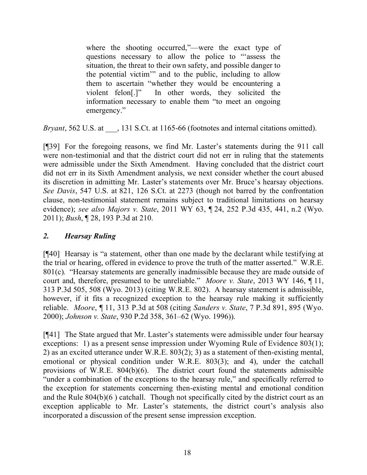where the shooting occurred,"—were the exact type of questions necessary to allow the police to "'assess the situation, the threat to their own safety, and possible danger to the potential victim'" and to the public, including to allow them to ascertain "whether they would be encountering a violent felon[.]" In other words, they solicited the information necessary to enable them "to meet an ongoing emergency."

*Bryant*, 562 U.S. at  $\qquad$ , 131 S.Ct. at 1165-66 (footnotes and internal citations omitted).

[¶39] For the foregoing reasons, we find Mr. Laster's statements during the 911 call were non-testimonial and that the district court did not err in ruling that the statements were admissible under the Sixth Amendment. Having concluded that the district court did not err in its Sixth Amendment analysis, we next consider whether the court abused its discretion in admitting Mr. Laster's statements over Mr. Bruce's hearsay objections. *See Davis*, 547 U.S. at 821, 126 S.Ct. at 2273 (though not barred by the confrontation clause, non-testimonial statement remains subject to traditional limitations on hearsay evidence); *see also Majors v. State*, 2011 WY 63, ¶ 24, 252 P.3d 435, 441, n.2 (Wyo. 2011); *Bush*, ¶ 28, 193 P.3d at 210.

## *2. Hearsay Ruling*

[¶40] Hearsay is "a statement, other than one made by the declarant while testifying at the trial or hearing, offered in evidence to prove the truth of the matter asserted." W.R.E. 801(c). "Hearsay statements are generally inadmissible because they are made outside of court and, therefore, presumed to be unreliable." *Moore v. State*, 2013 WY 146, ¶ 11, 313 P.3d 505, 508 (Wyo. 2013) (citing W.R.E. 802). A hearsay statement is admissible, however, if it fits a recognized exception to the hearsay rule making it sufficiently reliable. *Moore*, ¶ 11, 313 P.3d at 508 (citing *Sanders v. State*, 7 P.3d 891, 895 (Wyo. 2000); *Johnson v. State*, 930 P.2d 358, 361–62 (Wyo. 1996)).

[¶41] The State argued that Mr. Laster's statements were admissible under four hearsay exceptions: 1) as a present sense impression under Wyoming Rule of Evidence 803(1); 2) as an excited utterance under W.R.E. 803(2); 3) as a statement of then-existing mental, emotional or physical condition under W.R.E. 803(3); and 4), under the catchall provisions of W.R.E. 804(b)(6). The district court found the statements admissible "under a combination of the exceptions to the hearsay rule," and specifically referred to the exception for statements concerning then-existing mental and emotional condition and the Rule 804(b)(6 ) catchall. Though not specifically cited by the district court as an exception applicable to Mr. Laster's statements, the district court's analysis also incorporated a discussion of the present sense impression exception.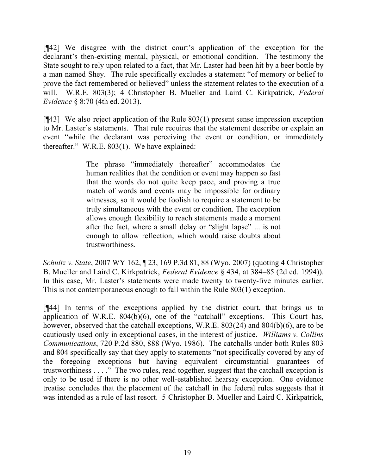[¶42] We disagree with the district court's application of the exception for the declarant's then-existing mental, physical, or emotional condition. The testimony the State sought to rely upon related to a fact, that Mr. Laster had been hit by a beer bottle by a man named Shey. The rule specifically excludes a statement "of memory or belief to prove the fact remembered or believed" unless the statement relates to the execution of a will. W.R.E. 803(3); 4 Christopher B. Mueller and Laird C. Kirkpatrick, *Federal Evidence* § 8:70 (4th ed. 2013).

[¶43] We also reject application of the Rule 803(1) present sense impression exception to Mr. Laster's statements. That rule requires that the statement describe or explain an event "while the declarant was perceiving the event or condition, or immediately thereafter." W.R.E. 803(1). We have explained:

> The phrase "immediately thereafter" accommodates the human realities that the condition or event may happen so fast that the words do not quite keep pace, and proving a true match of words and events may be impossible for ordinary witnesses, so it would be foolish to require a statement to be truly simultaneous with the event or condition. The exception allows enough flexibility to reach statements made a moment after the fact, where a small delay or "slight lapse" ... is not enough to allow reflection, which would raise doubts about trustworthiness.

*Schultz v. State*, 2007 WY 162, ¶ 23, 169 P.3d 81, 88 (Wyo. 2007) (quoting 4 Christopher B. Mueller and Laird C. Kirkpatrick, *Federal Evidence* § 434, at 384–85 (2d ed. 1994)). In this case, Mr. Laster's statements were made twenty to twenty-five minutes earlier. This is not contemporaneous enough to fall within the Rule 803(1) exception.

[¶44] In terms of the exceptions applied by the district court, that brings us to application of W.R.E.  $804(b)(6)$ , one of the "catchall" exceptions. This Court has, however, observed that the catchall exceptions, W.R.E. 803(24) and 804(b)(6), are to be cautiously used only in exceptional cases, in the interest of justice. *Williams v. Collins Communications*, 720 P.2d 880, 888 (Wyo. 1986). The catchalls under both Rules 803 and 804 specifically say that they apply to statements "not specifically covered by any of the foregoing exceptions but having equivalent circumstantial guarantees of trustworthiness . . . ." The two rules, read together, suggest that the catchall exception is only to be used if there is no other well-established hearsay exception. One evidence treatise concludes that the placement of the catchall in the federal rules suggests that it was intended as a rule of last resort. 5 Christopher B. Mueller and Laird C. Kirkpatrick,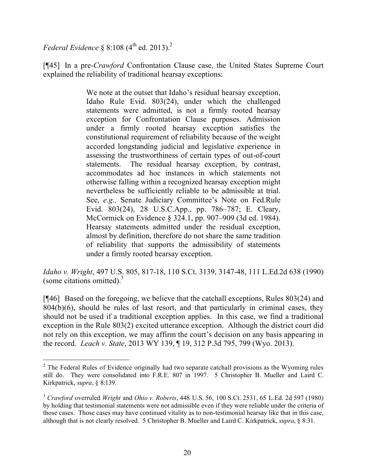*Federal Evidence* § 8:108  $(4^{th}$  ed. 2013).<sup>2</sup>

[¶45] In a pre-*Crawford* Confrontation Clause case, the United States Supreme Court explained the reliability of traditional hearsay exceptions:

> We note at the outset that Idaho's residual hearsay exception, Idaho Rule Evid. 803(24), under which the challenged statements were admitted, is not a firmly rooted hearsay exception for Confrontation Clause purposes. Admission under a firmly rooted hearsay exception satisfies the constitutional requirement of reliability because of the weight accorded longstanding judicial and legislative experience in assessing the trustworthiness of certain types of out-of-court statements. The residual hearsay exception, by contrast, accommodates ad hoc instances in which statements not otherwise falling within a recognized hearsay exception might nevertheless be sufficiently reliable to be admissible at trial. See, *e.g.,* Senate Judiciary Committee's Note on Fed.Rule Evid. 803(24), 28 U.S.C.App., pp. 786–787; E. Cleary, McCormick on Evidence § 324.1, pp. 907–909 (3d ed. 1984). Hearsay statements admitted under the residual exception, almost by definition, therefore do not share the same tradition of reliability that supports the admissibility of statements under a firmly rooted hearsay exception.

*Idaho v. Wright*, 497 U.S. 805, 817-18, 110 S.Ct. 3139, 3147-48, 111 L.Ed.2d 638 (1990) (some citations omitted). $3$ 

[¶46] Based on the foregoing, we believe that the catchall exceptions, Rules 803(24) and 804(b)(6), should be rules of last resort, and that particularly in criminal cases, they should not be used if a traditional exception applies. In this case, we find a traditional exception in the Rule 803(2) excited utterance exception. Although the district court did not rely on this exception, we may affirm the court's decision on any basis appearing in the record. *Leach v. State*, 2013 WY 139, ¶ 19, 312 P.3d 795, 799 (Wyo. 2013).

 $2$  The Federal Rules of Evidence originally had two separate catchall provisions as the Wyoming rules still do. They were consolidated into F.R.E. 807 in 1997. 5 Christopher B. Mueller and Laird C. Kirkpatrick, *supra*, § 8:139.

<sup>3</sup> *Crawford* overruled *Wright* and *Ohio v. Roberts*, 448 U.S. 56, 100 S.Ct. 2531, 65 L.Ed. 2d 597 (1980) by holding that testimonial statements were not admissible even if they were reliable under the criteria of those cases. Those cases may have continued vitality as to non-testimonial hearsay like that in this case, although that is not clearly resolved. 5 Christopher B. Mueller and Laird C. Kirkpatrick, *supra*, § 8:31.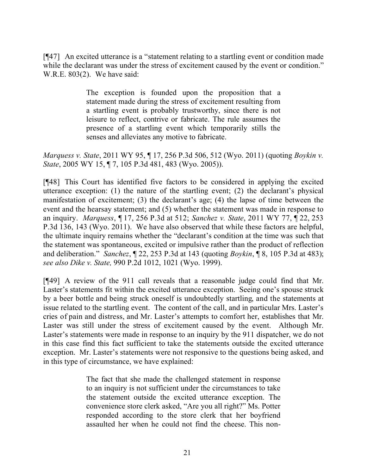[¶47] An excited utterance is a "statement relating to a startling event or condition made while the declarant was under the stress of excitement caused by the event or condition." W.R.E. 803(2). We have said:

> The exception is founded upon the proposition that a statement made during the stress of excitement resulting from a startling event is probably trustworthy, since there is not leisure to reflect, contrive or fabricate. The rule assumes the presence of a startling event which temporarily stills the senses and alleviates any motive to fabricate.

*Marquess v. State*, 2011 WY 95, ¶ 17, 256 P.3d 506, 512 (Wyo. 2011) (quoting *Boykin v. State*, 2005 WY 15, ¶ 7, 105 P.3d 481, 483 (Wyo. 2005)).

[¶48] This Court has identified five factors to be considered in applying the excited utterance exception: (1) the nature of the startling event; (2) the declarant's physical manifestation of excitement; (3) the declarant's age; (4) the lapse of time between the event and the hearsay statement; and (5) whether the statement was made in response to an inquiry. *Marquess*, ¶ 17, 256 P.3d at 512; *Sanchez v. State*, 2011 WY 77, ¶ 22, 253 P.3d 136, 143 (Wyo. 2011). We have also observed that while these factors are helpful, the ultimate inquiry remains whether the "declarant's condition at the time was such that the statement was spontaneous, excited or impulsive rather than the product of reflection and deliberation." *Sanchez*, ¶ 22, 253 P.3d at 143 (quoting *Boykin*, ¶ 8, 105 P.3d at 483); *see also Dike v. State,* 990 P.2d 1012, 1021 (Wyo. 1999).

[¶49] A review of the 911 call reveals that a reasonable judge could find that Mr. Laster's statements fit within the excited utterance exception. Seeing one's spouse struck by a beer bottle and being struck oneself is undoubtedly startling, and the statements at issue related to the startling event. The content of the call, and in particular Mrs. Laster's cries of pain and distress, and Mr. Laster's attempts to comfort her, establishes that Mr. Laster was still under the stress of excitement caused by the event. Although Mr. Laster's statements were made in response to an inquiry by the 911 dispatcher, we do not in this case find this fact sufficient to take the statements outside the excited utterance exception. Mr. Laster's statements were not responsive to the questions being asked, and in this type of circumstance, we have explained:

> The fact that she made the challenged statement in response to an inquiry is not sufficient under the circumstances to take the statement outside the excited utterance exception. The convenience store clerk asked, "Are you all right?" Ms. Potter responded according to the store clerk that her boyfriend assaulted her when he could not find the cheese. This non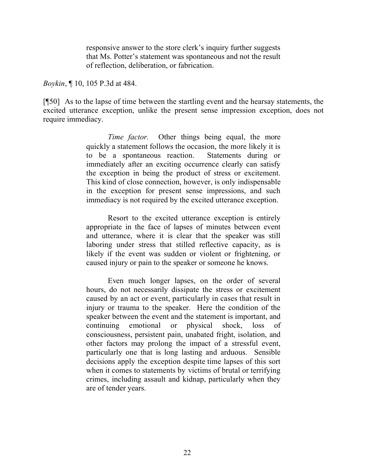responsive answer to the store clerk's inquiry further suggests that Ms. Potter's statement was spontaneous and not the result of reflection, deliberation, or fabrication.

*Boykin*, ¶ 10, 105 P.3d at 484.

[¶50] As to the lapse of time between the startling event and the hearsay statements, the excited utterance exception, unlike the present sense impression exception, does not require immediacy.

> *Time factor.* Other things being equal, the more quickly a statement follows the occasion, the more likely it is to be a spontaneous reaction. Statements during or immediately after an exciting occurrence clearly can satisfy the exception in being the product of stress or excitement. This kind of close connection, however, is only indispensable in the exception for present sense impressions, and such immediacy is not required by the excited utterance exception.

> Resort to the excited utterance exception is entirely appropriate in the face of lapses of minutes between event and utterance, where it is clear that the speaker was still laboring under stress that stilled reflective capacity, as is likely if the event was sudden or violent or frightening, or caused injury or pain to the speaker or someone he knows.

> Even much longer lapses, on the order of several hours, do not necessarily dissipate the stress or excitement caused by an act or event, particularly in cases that result in injury or trauma to the speaker. Here the condition of the speaker between the event and the statement is important, and continuing emotional or physical shock, loss of consciousness, persistent pain, unabated fright, isolation, and other factors may prolong the impact of a stressful event, particularly one that is long lasting and arduous. Sensible decisions apply the exception despite time lapses of this sort when it comes to statements by victims of brutal or terrifying crimes, including assault and kidnap, particularly when they are of tender years.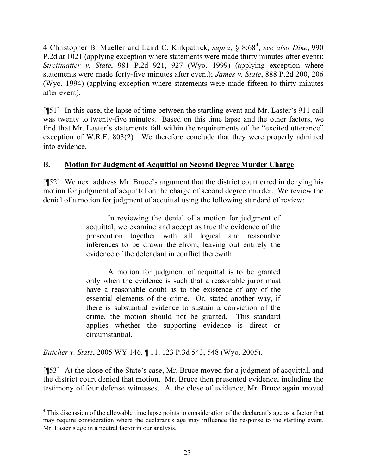4 Christopher B. Mueller and Laird C. Kirkpatrick, *supra*, § 8:68<sup>4</sup> ; *see also Dike*, 990 P.2d at 1021 (applying exception where statements were made thirty minutes after event); *Streitmatter v. State*, 981 P.2d 921, 927 (Wyo. 1999) (applying exception where statements were made forty-five minutes after event); *James v. State*, 888 P.2d 200, 206 (Wyo. 1994) (applying exception where statements were made fifteen to thirty minutes after event).

[¶51] In this case, the lapse of time between the startling event and Mr. Laster's 911 call was twenty to twenty-five minutes. Based on this time lapse and the other factors, we find that Mr. Laster's statements fall within the requirements of the "excited utterance" exception of W.R.E. 803(2). We therefore conclude that they were properly admitted into evidence.

# **B. Motion for Judgment of Acquittal on Second Degree Murder Charge**

[¶52] We next address Mr. Bruce's argument that the district court erred in denying his motion for judgment of acquittal on the charge of second degree murder. We review the denial of a motion for judgment of acquittal using the following standard of review:

> In reviewing the denial of a motion for judgment of acquittal, we examine and accept as true the evidence of the prosecution together with all logical and reasonable inferences to be drawn therefrom, leaving out entirely the evidence of the defendant in conflict therewith.

> A motion for judgment of acquittal is to be granted only when the evidence is such that a reasonable juror must have a reasonable doubt as to the existence of any of the essential elements of the crime. Or, stated another way, if there is substantial evidence to sustain a conviction of the crime, the motion should not be granted. This standard applies whether the supporting evidence is direct or circumstantial.

*Butcher v. State*, 2005 WY 146, ¶ 11, 123 P.3d 543, 548 (Wyo. 2005).

[¶53] At the close of the State's case, Mr. Bruce moved for a judgment of acquittal, and the district court denied that motion. Mr. Bruce then presented evidence, including the testimony of four defense witnesses. At the close of evidence, Mr. Bruce again moved

 <sup>4</sup> This discussion of the allowable time lapse points to consideration of the declarant's age as a factor that may require consideration where the declarant's age may influence the response to the startling event. Mr. Laster's age in a neutral factor in our analysis.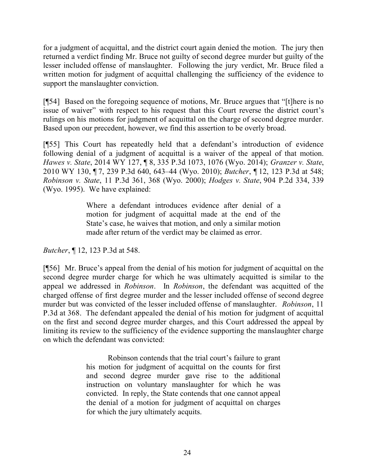for a judgment of acquittal, and the district court again denied the motion. The jury then returned a verdict finding Mr. Bruce not guilty of second degree murder but guilty of the lesser included offense of manslaughter. Following the jury verdict, Mr. Bruce filed a written motion for judgment of acquittal challenging the sufficiency of the evidence to support the manslaughter conviction.

[¶54] Based on the foregoing sequence of motions, Mr. Bruce argues that "[t]here is no issue of waiver" with respect to his request that this Court reverse the district court's rulings on his motions for judgment of acquittal on the charge of second degree murder. Based upon our precedent, however, we find this assertion to be overly broad.

[¶55] This Court has repeatedly held that a defendant's introduction of evidence following denial of a judgment of acquittal is a waiver of the appeal of that motion. *Hawes v. State*, 2014 WY 127, ¶ 8, 335 P.3d 1073, 1076 (Wyo. 2014); *Granzer v. State*, 2010 WY 130, ¶ 7, 239 P.3d 640, 643–44 (Wyo. 2010); *Butcher*, ¶ 12, 123 P.3d at 548; *Robinson v. State*, 11 P.3d 361, 368 (Wyo. 2000); *Hodges v. State*, 904 P.2d 334, 339 (Wyo. 1995). We have explained:

> Where a defendant introduces evidence after denial of a motion for judgment of acquittal made at the end of the State's case, he waives that motion, and only a similar motion made after return of the verdict may be claimed as error.

*Butcher*, ¶ 12, 123 P.3d at 548.

[¶56] Mr. Bruce's appeal from the denial of his motion for judgment of acquittal on the second degree murder charge for which he was ultimately acquitted is similar to the appeal we addressed in *Robinson*. In *Robinson*, the defendant was acquitted of the charged offense of first degree murder and the lesser included offense of second degree murder but was convicted of the lesser included offense of manslaughter. *Robinson*, 11 P.3d at 368. The defendant appealed the denial of his motion for judgment of acquittal on the first and second degree murder charges, and this Court addressed the appeal by limiting its review to the sufficiency of the evidence supporting the manslaughter charge on which the defendant was convicted:

> Robinson contends that the trial court's failure to grant his motion for judgment of acquittal on the counts for first and second degree murder gave rise to the additional instruction on voluntary manslaughter for which he was convicted. In reply, the State contends that one cannot appeal the denial of a motion for judgment of acquittal on charges for which the jury ultimately acquits.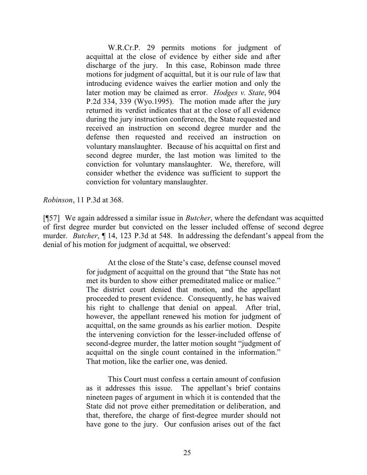W.R.Cr.P. 29 permits motions for judgment of acquittal at the close of evidence by either side and after discharge of the jury. In this case, Robinson made three motions for judgment of acquittal, but it is our rule of law that introducing evidence waives the earlier motion and only the later motion may be claimed as error. *Hodges v. State*, 904 P.2d 334, 339 (Wyo.1995). The motion made after the jury returned its verdict indicates that at the close of all evidence during the jury instruction conference, the State requested and received an instruction on second degree murder and the defense then requested and received an instruction on voluntary manslaughter. Because of his acquittal on first and second degree murder, the last motion was limited to the conviction for voluntary manslaughter. We, therefore, will consider whether the evidence was sufficient to support the conviction for voluntary manslaughter.

*Robinson*, 11 P.3d at 368.

[¶57] We again addressed a similar issue in *Butcher*, where the defendant was acquitted of first degree murder but convicted on the lesser included offense of second degree murder. *Butcher*, ¶ 14, 123 P.3d at 548. In addressing the defendant's appeal from the denial of his motion for judgment of acquittal, we observed:

> At the close of the State's case, defense counsel moved for judgment of acquittal on the ground that "the State has not met its burden to show either premeditated malice or malice." The district court denied that motion, and the appellant proceeded to present evidence. Consequently, he has waived his right to challenge that denial on appeal. After trial, however, the appellant renewed his motion for judgment of acquittal, on the same grounds as his earlier motion. Despite the intervening conviction for the lesser-included offense of second-degree murder, the latter motion sought "judgment of acquittal on the single count contained in the information." That motion, like the earlier one, was denied.

> This Court must confess a certain amount of confusion as it addresses this issue. The appellant's brief contains nineteen pages of argument in which it is contended that the State did not prove either premeditation or deliberation, and that, therefore, the charge of first-degree murder should not have gone to the jury. Our confusion arises out of the fact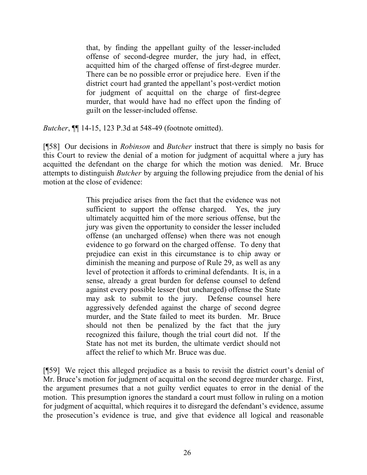that, by finding the appellant guilty of the lesser-included offense of second-degree murder, the jury had, in effect, acquitted him of the charged offense of first-degree murder. There can be no possible error or prejudice here. Even if the district court had granted the appellant's post-verdict motion for judgment of acquittal on the charge of first-degree murder, that would have had no effect upon the finding of guilt on the lesser-included offense.

*Butcher*, ¶¶ 14-15, 123 P.3d at 548-49 (footnote omitted).

[¶58] Our decisions in *Robinson* and *Butcher* instruct that there is simply no basis for this Court to review the denial of a motion for judgment of acquittal where a jury has acquitted the defendant on the charge for which the motion was denied. Mr. Bruce attempts to distinguish *Butcher* by arguing the following prejudice from the denial of his motion at the close of evidence:

> This prejudice arises from the fact that the evidence was not sufficient to support the offense charged. Yes, the jury ultimately acquitted him of the more serious offense, but the jury was given the opportunity to consider the lesser included offense (an uncharged offense) when there was not enough evidence to go forward on the charged offense. To deny that prejudice can exist in this circumstance is to chip away or diminish the meaning and purpose of Rule 29, as well as any level of protection it affords to criminal defendants. It is, in a sense, already a great burden for defense counsel to defend against every possible lesser (but uncharged) offense the State may ask to submit to the jury. Defense counsel here aggressively defended against the charge of second degree murder, and the State failed to meet its burden. Mr. Bruce should not then be penalized by the fact that the jury recognized this failure, though the trial court did not. If the State has not met its burden, the ultimate verdict should not affect the relief to which Mr. Bruce was due.

[¶59] We reject this alleged prejudice as a basis to revisit the district court's denial of Mr. Bruce's motion for judgment of acquittal on the second degree murder charge. First, the argument presumes that a not guilty verdict equates to error in the denial of the motion. This presumption ignores the standard a court must follow in ruling on a motion for judgment of acquittal, which requires it to disregard the defendant's evidence, assume the prosecution's evidence is true, and give that evidence all logical and reasonable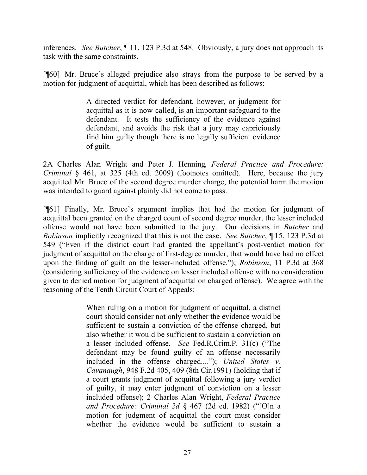inferences. *See Butcher*, ¶ 11, 123 P.3d at 548. Obviously, a jury does not approach its task with the same constraints.

[¶60] Mr. Bruce's alleged prejudice also strays from the purpose to be served by a motion for judgment of acquittal, which has been described as follows:

> A directed verdict for defendant, however, or judgment for acquittal as it is now called, is an important safeguard to the defendant. It tests the sufficiency of the evidence against defendant, and avoids the risk that a jury may capriciously find him guilty though there is no legally sufficient evidence of guilt.

2A Charles Alan Wright and Peter J. Henning, *Federal Practice and Procedure: Criminal* § 461, at 325 (4th ed. 2009) (footnotes omitted). Here, because the jury acquitted Mr. Bruce of the second degree murder charge, the potential harm the motion was intended to guard against plainly did not come to pass.

[¶61] Finally, Mr. Bruce's argument implies that had the motion for judgment of acquittal been granted on the charged count of second degree murder, the lesser included offense would not have been submitted to the jury. Our decisions in *Butcher* and *Robinson* implicitly recognized that this is not the case. *See Butcher*, ¶ 15, 123 P.3d at 549 ("Even if the district court had granted the appellant's post-verdict motion for judgment of acquittal on the charge of first-degree murder, that would have had no effect upon the finding of guilt on the lesser-included offense."); *Robinson*, 11 P.3d at 368 (considering sufficiency of the evidence on lesser included offense with no consideration given to denied motion for judgment of acquittal on charged offense). We agree with the reasoning of the Tenth Circuit Court of Appeals:

> When ruling on a motion for judgment of acquittal, a district court should consider not only whether the evidence would be sufficient to sustain a conviction of the offense charged, but also whether it would be sufficient to sustain a conviction on a lesser included offense. *See* Fed.R.Crim.P. 31(c) ("The defendant may be found guilty of an offense necessarily included in the offense charged...."); *United States v. Cavanaugh*, 948 F.2d 405, 409 (8th Cir.1991) (holding that if a court grants judgment of acquittal following a jury verdict of guilty, it may enter judgment of conviction on a lesser included offense); 2 Charles Alan Wright, *Federal Practice and Procedure: Criminal 2d* § 467 (2d ed. 1982) ("[O]n a motion for judgment of acquittal the court must consider whether the evidence would be sufficient to sustain a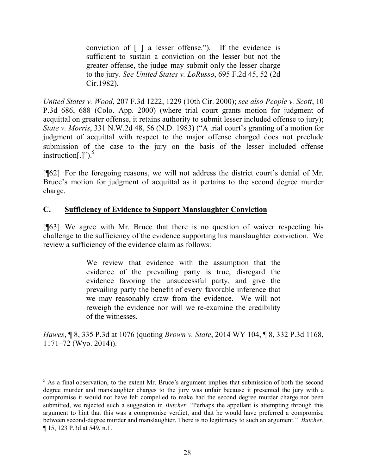conviction of [ ] a lesser offense."). If the evidence is sufficient to sustain a conviction on the lesser but not the greater offense, the judge may submit only the lesser charge to the jury. *See United States v. LoRusso*, 695 F.2d 45, 52 (2d Cir.1982).

*United States v. Wood*, 207 F.3d 1222, 1229 (10th Cir. 2000); *see also People v. Scott*, 10 P.3d 686, 688 (Colo. App. 2000) (where trial court grants motion for judgment of acquittal on greater offense, it retains authority to submit lesser included offense to jury); *State v. Morris*, 331 N.W.2d 48, 56 (N.D. 1983) ("A trial court's granting of a motion for judgment of acquittal with respect to the major offense charged does not preclude submission of the case to the jury on the basis of the lesser included offense instruction[.]"). $5$ 

[¶62] For the foregoing reasons, we will not address the district court's denial of Mr. Bruce's motion for judgment of acquittal as it pertains to the second degree murder charge.

## **C. Sufficiency of Evidence to Support Manslaughter Conviction**

 $\overline{a}$ 

[¶63] We agree with Mr. Bruce that there is no question of waiver respecting his challenge to the sufficiency of the evidence supporting his manslaughter conviction. We review a sufficiency of the evidence claim as follows:

> We review that evidence with the assumption that the evidence of the prevailing party is true, disregard the evidence favoring the unsuccessful party, and give the prevailing party the benefit of every favorable inference that we may reasonably draw from the evidence. We will not reweigh the evidence nor will we re-examine the credibility of the witnesses.

*Hawes*, ¶ 8, 335 P.3d at 1076 (quoting *Brown v. State*, 2014 WY 104, ¶ 8, 332 P.3d 1168, 1171–72 (Wyo. 2014)).

<sup>&</sup>lt;sup>5</sup> As a final observation, to the extent Mr. Bruce's argument implies that submission of both the second degree murder and manslaughter charges to the jury was unfair because it presented the jury with a compromise it would not have felt compelled to make had the second degree murder charge not been submitted, we rejected such a suggestion in *Butcher*: "Perhaps the appellant is attempting through this argument to hint that this was a compromise verdict, and that he would have preferred a compromise between second-degree murder and manslaughter. There is no legitimacy to such an argument." *Butcher*, ¶ 15, 123 P.3d at 549, n.1.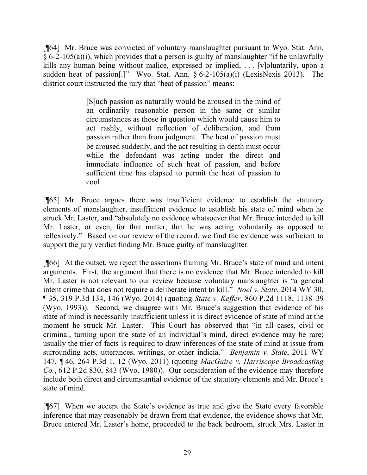[¶64] Mr. Bruce was convicted of voluntary manslaughter pursuant to Wyo. Stat. Ann.  $§ 6-2-105(a)(i)$ , which provides that a person is guilty of manslaughter "if he unlawfully kills any human being without malice, expressed or implied, ... [v] oluntarily, upon a sudden heat of passion[.]" Wyo. Stat. Ann.  $\S 6-2-105(a)(i)$  (LexisNexis 2013). The district court instructed the jury that "heat of passion" means:

> [S]uch passion as naturally would be aroused in the mind of an ordinarily reasonable person in the same or similar circumstances as those in question which would cause him to act rashly, without reflection of deliberation, and from passion rather than from judgment. The heat of passion must be aroused suddenly, and the act resulting in death must occur while the defendant was acting under the direct and immediate influence of such heat of passion, and before sufficient time has elapsed to permit the heat of passion to cool.

[¶65] Mr. Bruce argues there was insufficient evidence to establish the statutory elements of manslaughter, insufficient evidence to establish his state of mind when he struck Mr. Laster, and "absolutely no evidence whatsoever that Mr. Bruce intended to kill Mr. Laster, or even, for that matter, that he was acting voluntarily as opposed to reflexively." Based on our review of the record, we find the evidence was sufficient to support the jury verdict finding Mr. Bruce guilty of manslaughter.

[¶66] At the outset, we reject the assertions framing Mr. Bruce's state of mind and intent arguments. First, the argument that there is no evidence that Mr. Bruce intended to kill Mr. Laster is not relevant to our review because voluntary manslaughter is "a general intent crime that does not require a deliberate intent to kill." *Noel v. State*, 2014 WY 30, ¶ 35, 319 P.3d 134, 146 (Wyo. 2014) (quoting *State v. Keffer*, 860 P.2d 1118, 1138–39 (Wyo. 1993)). Second, we disagree with Mr. Bruce's suggestion that evidence of his state of mind is necessarily insufficient unless it is direct evidence of state of mind at the moment he struck Mr. Laster. This Court has observed that "in all cases, civil or criminal, turning upon the state of an individual's mind, direct evidence may be rare; usually the trier of facts is required to draw inferences of the state of mind at issue from surrounding acts, utterances, writings, or other indicia." *Benjamin v. State*, 2011 WY 147, ¶ 46, 264 P.3d 1, 12 (Wyo. 2011) (quoting *MacGuire v. Harriscope Broadcasting Co.*, 612 P.2d 830, 843 (Wyo. 1980)). Our consideration of the evidence may therefore include both direct and circumstantial evidence of the statutory elements and Mr. Bruce's state of mind.

[¶67] When we accept the State's evidence as true and give the State every favorable inference that may reasonably be drawn from that evidence, the evidence shows that Mr. Bruce entered Mr. Laster's home, proceeded to the back bedroom, struck Mrs. Laster in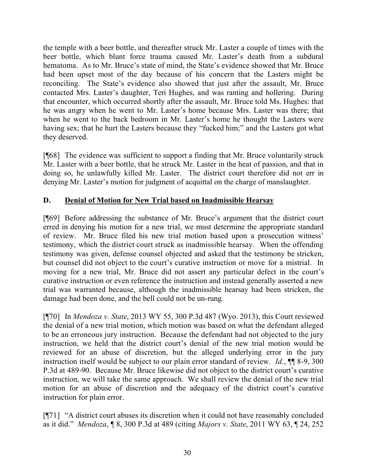the temple with a beer bottle, and thereafter struck Mr. Laster a couple of times with the beer bottle, which blunt force trauma caused Mr. Laster's death from a subdural hematoma. As to Mr. Bruce's state of mind, the State's evidence showed that Mr. Bruce had been upset most of the day because of his concern that the Lasters might be reconciling. The State's evidence also showed that just after the assault, Mr. Bruce contacted Mrs. Laster's daughter, Teri Hughes, and was ranting and hollering. During that encounter, which occurred shortly after the assault, Mr. Bruce told Ms. Hughes: that he was angry when he went to Mr. Laster's home because Mrs. Laster was there; that when he went to the back bedroom in Mr. Laster's home he thought the Lasters were having sex; that he hurt the Lasters because they "fucked him;" and the Lasters got what they deserved.

[¶68] The evidence was sufficient to support a finding that Mr. Bruce voluntarily struck Mr. Laster with a beer bottle, that he struck Mr. Laster in the heat of passion, and that in doing so, he unlawfully killed Mr. Laster. The district court therefore did not err in denying Mr. Laster's motion for judgment of acquittal on the charge of manslaughter.

# **D. Denial of Motion for New Trial based on Inadmissible Hearsay**

[¶69] Before addressing the substance of Mr. Bruce's argument that the district court erred in denying his motion for a new trial, we must determine the appropriate standard of review. Mr. Bruce filed his new trial motion based upon a prosecution witness' testimony, which the district court struck as inadmissible hearsay. When the offending testimony was given, defense counsel objected and asked that the testimony be stricken, but counsel did not object to the court's curative instruction or move for a mistrial. In moving for a new trial, Mr. Bruce did not assert any particular defect in the court's curative instruction or even reference the instruction and instead generally asserted a new trial was warranted because, although the inadmissible hearsay had been stricken, the damage had been done, and the bell could not be un-rung.

[¶70] In *Mendoza v. State*, 2013 WY 55, 300 P.3d 487 (Wyo. 2013), this Court reviewed the denial of a new trial motion, which motion was based on what the defendant alleged to be an erroneous jury instruction. Because the defendant had not objected to the jury instruction, we held that the district court's denial of the new trial motion would be reviewed for an abuse of discretion, but the alleged underlying error in the jury instruction itself would be subject to our plain error standard of review. *Id.*, ¶¶ 8-9, 300 P.3d at 489-90. Because Mr. Bruce likewise did not object to the district court's curative instruction, we will take the same approach. We shall review the denial of the new trial motion for an abuse of discretion and the adequacy of the district court's curative instruction for plain error.

[¶71] "A district court abuses its discretion when it could not have reasonably concluded as it did." *Mendoza*, ¶ 8, 300 P.3d at 489 (citing *Majors v. State*, 2011 WY 63, ¶ 24, 252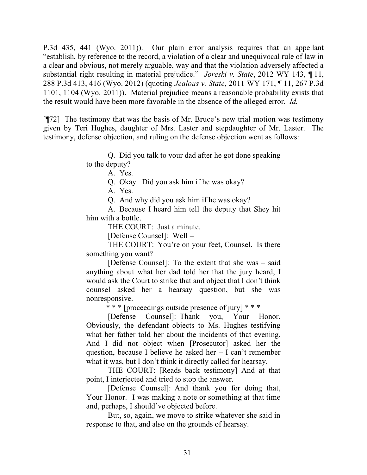P.3d 435, 441 (Wyo. 2011)). Our plain error analysis requires that an appellant "establish, by reference to the record, a violation of a clear and unequivocal rule of law in a clear and obvious, not merely arguable, way and that the violation adversely affected a substantial right resulting in material prejudice." *Joreski v. State*, 2012 WY 143, ¶ 11, 288 P.3d 413, 416 (Wyo. 2012) (quoting *Jealous v. State*, 2011 WY 171, ¶ 11, 267 P.3d 1101, 1104 (Wyo. 2011)). Material prejudice means a reasonable probability exists that the result would have been more favorable in the absence of the alleged error. *Id.*

[¶72] The testimony that was the basis of Mr. Bruce's new trial motion was testimony given by Teri Hughes, daughter of Mrs. Laster and stepdaughter of Mr. Laster. The testimony, defense objection, and ruling on the defense objection went as follows:

> Q. Did you talk to your dad after he got done speaking to the deputy?

A. Yes.

Q. Okay. Did you ask him if he was okay?

A. Yes.

Q. And why did you ask him if he was okay?

A. Because I heard him tell the deputy that Shey hit him with a bottle.

THE COURT: Just a minute.

[Defense Counsel]: Well –

THE COURT: You're on your feet, Counsel. Is there something you want?

[Defense Counsel]: To the extent that she was – said anything about what her dad told her that the jury heard, I would ask the Court to strike that and object that I don't think counsel asked her a hearsay question, but she was nonresponsive.

\* \* \* [proceedings outside presence of jury] \* \* \*

[Defense Counsel]: Thank you, Your Honor. Obviously, the defendant objects to Ms. Hughes testifying what her father told her about the incidents of that evening. And I did not object when [Prosecutor] asked her the question, because I believe he asked her – I can't remember what it was, but I don't think it directly called for hearsay.

THE COURT: [Reads back testimony] And at that point, I interjected and tried to stop the answer.

[Defense Counsel]: And thank you for doing that, Your Honor. I was making a note or something at that time and, perhaps, I should've objected before.

But, so, again, we move to strike whatever she said in response to that, and also on the grounds of hearsay.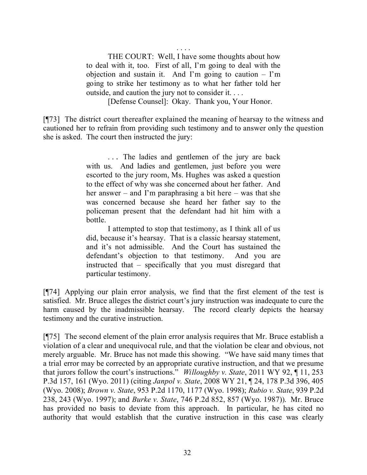. . . . THE COURT: Well, I have some thoughts about how to deal with it, too. First of all, I'm going to deal with the objection and sustain it. And I'm going to caution  $-$  I'm going to strike her testimony as to what her father told her outside, and caution the jury not to consider it. . . .

[Defense Counsel]: Okay. Thank you, Your Honor.

[¶73] The district court thereafter explained the meaning of hearsay to the witness and cautioned her to refrain from providing such testimony and to answer only the question she is asked. The court then instructed the jury:

> ... The ladies and gentlemen of the jury are back with us. And ladies and gentlemen, just before you were escorted to the jury room, Ms. Hughes was asked a question to the effect of why was she concerned about her father. And her answer – and I'm paraphrasing a bit here – was that she was concerned because she heard her father say to the policeman present that the defendant had hit him with a bottle.

> I attempted to stop that testimony, as I think all of us did, because it's hearsay. That is a classic hearsay statement, and it's not admissible. And the Court has sustained the defendant's objection to that testimony. And you are instructed that – specifically that you must disregard that particular testimony.

[¶74] Applying our plain error analysis, we find that the first element of the test is satisfied. Mr. Bruce alleges the district court's jury instruction was inadequate to cure the harm caused by the inadmissible hearsay. The record clearly depicts the hearsay testimony and the curative instruction.

[¶75] The second element of the plain error analysis requires that Mr. Bruce establish a violation of a clear and unequivocal rule, and that the violation be clear and obvious, not merely arguable. Mr. Bruce has not made this showing. "We have said many times that a trial error may be corrected by an appropriate curative instruction, and that we presume that jurors follow the court's instructions." *Willoughby v. State*, 2011 WY 92, ¶ 11, 253 P.3d 157, 161 (Wyo. 2011) (citing *Janpol v. State*, 2008 WY 21, ¶ 24, 178 P.3d 396, 405 (Wyo. 2008); *Brown v. State*, 953 P.2d 1170, 1177 (Wyo. 1998); *Rubio v. State*, 939 P.2d 238, 243 (Wyo. 1997); and *Burke v. State*, 746 P.2d 852, 857 (Wyo. 1987)). Mr. Bruce has provided no basis to deviate from this approach. In particular, he has cited no authority that would establish that the curative instruction in this case was clearly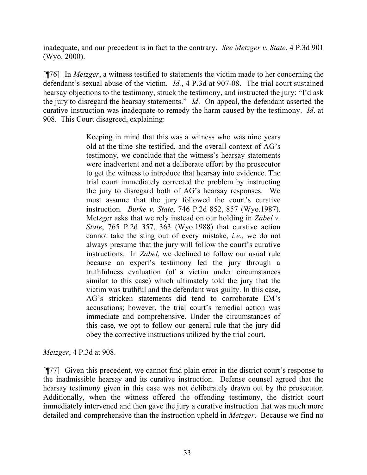inadequate, and our precedent is in fact to the contrary. *See Metzger v. State*, 4 P.3d 901 (Wyo. 2000).

[¶76] In *Metzger*, a witness testified to statements the victim made to her concerning the defendant's sexual abuse of the victim. *Id.*, 4 P.3d at 907-08. The trial court sustained hearsay objections to the testimony, struck the testimony, and instructed the jury: "I'd ask the jury to disregard the hearsay statements." *Id*. On appeal, the defendant asserted the curative instruction was inadequate to remedy the harm caused by the testimony. *Id*. at 908. This Court disagreed, explaining:

> Keeping in mind that this was a witness who was nine years old at the time she testified, and the overall context of AG's testimony, we conclude that the witness's hearsay statements were inadvertent and not a deliberate effort by the prosecutor to get the witness to introduce that hearsay into evidence. The trial court immediately corrected the problem by instructing the jury to disregard both of AG's hearsay responses. We must assume that the jury followed the court's curative instruction. *Burke v. State*, 746 P.2d 852, 857 (Wyo.1987). Metzger asks that we rely instead on our holding in *Zabel v. State*, 765 P.2d 357, 363 (Wyo.1988) that curative action cannot take the sting out of every mistake, *i.e.*, we do not always presume that the jury will follow the court's curative instructions. In *Zabel*, we declined to follow our usual rule because an expert's testimony led the jury through a truthfulness evaluation (of a victim under circumstances similar to this case) which ultimately told the jury that the victim was truthful and the defendant was guilty. In this case, AG's stricken statements did tend to corroborate EM's accusations; however, the trial court's remedial action was immediate and comprehensive. Under the circumstances of this case, we opt to follow our general rule that the jury did obey the corrective instructions utilized by the trial court.

*Metzger*, 4 P.3d at 908.

[¶77] Given this precedent, we cannot find plain error in the district court's response to the inadmissible hearsay and its curative instruction. Defense counsel agreed that the hearsay testimony given in this case was not deliberately drawn out by the prosecutor. Additionally, when the witness offered the offending testimony, the district court immediately intervened and then gave the jury a curative instruction that was much more detailed and comprehensive than the instruction upheld in *Metzger*. Because we find no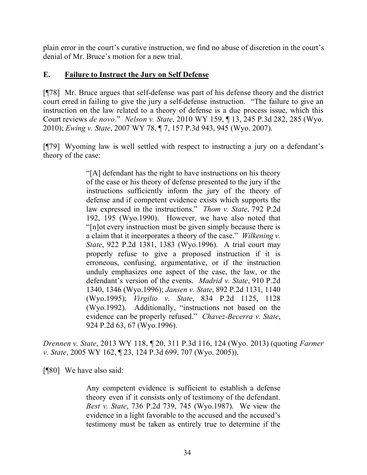plain error in the court's curative instruction, we find no abuse of discretion in the court's denial of Mr. Bruce's motion for a new trial.

## **E. Failure to Instruct the Jury on Self Defense**

[¶78] Mr. Bruce argues that self-defense was part of his defense theory and the district court erred in failing to give the jury a self-defense instruction. "The failure to give an instruction on the law related to a theory of defense is a due process issue, which this Court reviews *de novo*." *Nelson v. State*, 2010 WY 159, ¶ 13, 245 P.3d 282, 285 (Wyo. 2010); *Ewing v. State*, 2007 WY 78, ¶ 7, 157 P.3d 943, 945 (Wyo. 2007).

[¶79] Wyoming law is well settled with respect to instructing a jury on a defendant's theory of the case:

> "[A] defendant has the right to have instructions on his theory of the case or his theory of defense presented to the jury if the instructions sufficiently inform the jury of the theory of defense and if competent evidence exists which supports the law expressed in the instructions." *Thom v. State*, 792 P.2d 192, 195 (Wyo.1990). However, we have also noted that "[n]ot every instruction must be given simply because there is a claim that it incorporates a theory of the case." *Wilkening v. State*, 922 P.2d 1381, 1383 (Wyo.1996). A trial court may properly refuse to give a proposed instruction if it is erroneous, confusing, argumentative, or if the instruction unduly emphasizes one aspect of the case, the law, or the defendant's version of the events. *Madrid v. State*, 910 P.2d 1340, 1346 (Wyo.1996); *Jansen v. State*, 892 P.2d 1131, 1140 (Wyo.1995); *Virgilio v. State*, 834 P.2d 1125, 1128 (Wyo.1992). Additionally, "instructions not based on the evidence can be properly refused." *Chavez-Becerra v. State*, 924 P.2d 63, 67 (Wyo.1996).

*Drennen v. State*, 2013 WY 118, ¶ 20, 311 P.3d 116, 124 (Wyo. 2013) (quoting *Farmer v. State*, 2005 WY 162, ¶ 23, 124 P.3d 699, 707 (Wyo. 2005)).

[¶80] We have also said:

Any competent evidence is sufficient to establish a defense theory even if it consists only of testimony of the defendant. *Best v. State*, 736 P.2d 739, 745 (Wyo.1987). We view the evidence in a light favorable to the accused and the accused's testimony must be taken as entirely true to determine if the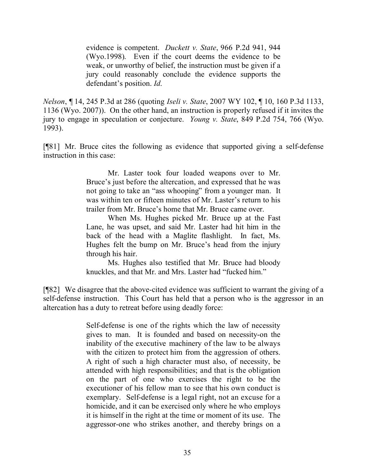evidence is competent. *Duckett v. State*, 966 P.2d 941, 944 (Wyo.1998). Even if the court deems the evidence to be weak, or unworthy of belief, the instruction must be given if a jury could reasonably conclude the evidence supports the defendant's position. *Id*.

*Nelson*, ¶ 14, 245 P.3d at 286 (quoting *Iseli v. State*, 2007 WY 102, ¶ 10, 160 P.3d 1133, 1136 (Wyo. 2007)). On the other hand, an instruction is properly refused if it invites the jury to engage in speculation or conjecture. *Young v. State*, 849 P.2d 754, 766 (Wyo. 1993).

[¶81] Mr. Bruce cites the following as evidence that supported giving a self-defense instruction in this case:

> Mr. Laster took four loaded weapons over to Mr. Bruce's just before the altercation, and expressed that he was not going to take an "ass whooping" from a younger man. It was within ten or fifteen minutes of Mr. Laster's return to his trailer from Mr. Bruce's home that Mr. Bruce came over.

> When Ms. Hughes picked Mr. Bruce up at the Fast Lane, he was upset, and said Mr. Laster had hit him in the back of the head with a Maglite flashlight. In fact, Ms. Hughes felt the bump on Mr. Bruce's head from the injury through his hair.

> Ms. Hughes also testified that Mr. Bruce had bloody knuckles, and that Mr. and Mrs. Laster had "fucked him."

[¶82] We disagree that the above-cited evidence was sufficient to warrant the giving of a self-defense instruction. This Court has held that a person who is the aggressor in an altercation has a duty to retreat before using deadly force:

> Self-defense is one of the rights which the law of necessity gives to man. It is founded and based on necessity-on the inability of the executive machinery of the law to be always with the citizen to protect him from the aggression of others. A right of such a high character must also, of necessity, be attended with high responsibilities; and that is the obligation on the part of one who exercises the right to be the executioner of his fellow man to see that his own conduct is exemplary. Self-defense is a legal right, not an excuse for a homicide, and it can be exercised only where he who employs it is himself in the right at the time or moment of its use. The aggressor-one who strikes another, and thereby brings on a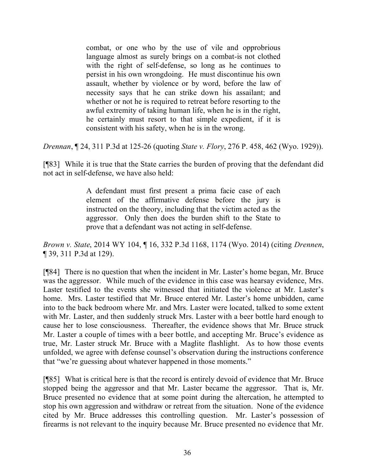combat, or one who by the use of vile and opprobrious language almost as surely brings on a combat-is not clothed with the right of self-defense, so long as he continues to persist in his own wrongdoing. He must discontinue his own assault, whether by violence or by word, before the law of necessity says that he can strike down his assailant; and whether or not he is required to retreat before resorting to the awful extremity of taking human life, when he is in the right, he certainly must resort to that simple expedient, if it is consistent with his safety, when he is in the wrong.

*Drennan*, ¶ 24, 311 P.3d at 125-26 (quoting *State v. Flory*, 276 P. 458, 462 (Wyo. 1929)).

[¶83] While it is true that the State carries the burden of proving that the defendant did not act in self-defense, we have also held:

> A defendant must first present a prima facie case of each element of the affirmative defense before the jury is instructed on the theory, including that the victim acted as the aggressor. Only then does the burden shift to the State to prove that a defendant was not acting in self-defense.

*Brown v. State*, 2014 WY 104, ¶ 16, 332 P.3d 1168, 1174 (Wyo. 2014) (citing *Drennen*, ¶ 39, 311 P.3d at 129).

[¶84] There is no question that when the incident in Mr. Laster's home began, Mr. Bruce was the aggressor. While much of the evidence in this case was hearsay evidence, Mrs. Laster testified to the events she witnessed that initiated the violence at Mr. Laster's home. Mrs. Laster testified that Mr. Bruce entered Mr. Laster's home unbidden, came into to the back bedroom where Mr. and Mrs. Laster were located, talked to some extent with Mr. Laster, and then suddenly struck Mrs. Laster with a beer bottle hard enough to cause her to lose consciousness. Thereafter, the evidence shows that Mr. Bruce struck Mr. Laster a couple of times with a beer bottle, and accepting Mr. Bruce's evidence as true, Mr. Laster struck Mr. Bruce with a Maglite flashlight. As to how those events unfolded, we agree with defense counsel's observation during the instructions conference that "we're guessing about whatever happened in those moments."

[¶85] What is critical here is that the record is entirely devoid of evidence that Mr. Bruce stopped being the aggressor and that Mr. Laster became the aggressor. That is, Mr. Bruce presented no evidence that at some point during the altercation, he attempted to stop his own aggression and withdraw or retreat from the situation. None of the evidence cited by Mr. Bruce addresses this controlling question. Mr. Laster's possession of firearms is not relevant to the inquiry because Mr. Bruce presented no evidence that Mr.